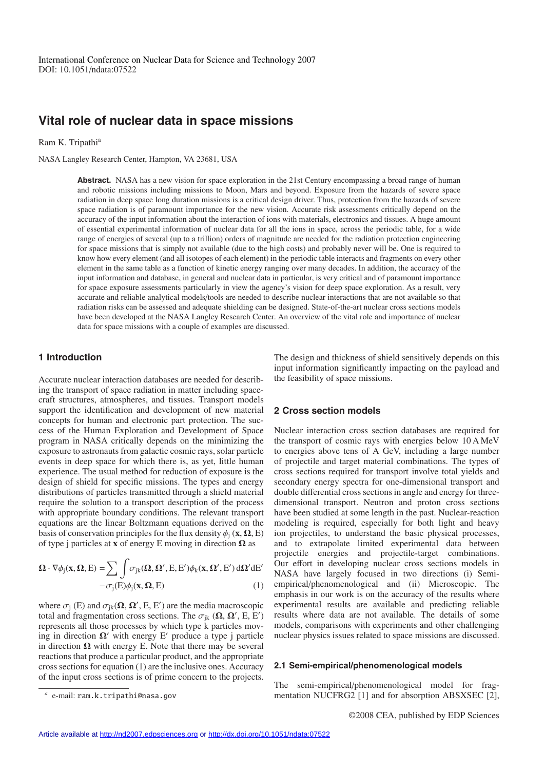# **Vital role of nuclear data in space missions**

Ram K. Tripathi<sup>a</sup>

NASA Langley Research Center, Hampton, VA 23681, USA

**Abstract.** NASA has a new vision for space exploration in the 21st Century encompassing a broad range of human and robotic missions including missions to Moon, Mars and beyond. Exposure from the hazards of severe space radiation in deep space long duration missions is a critical design driver. Thus, protection from the hazards of severe space radiation is of paramount importance for the new vision. Accurate risk assessments critically depend on the accuracy of the input information about the interaction of ions with materials, electronics and tissues. A huge amount of essential experimental information of nuclear data for all the ions in space, across the periodic table, for a wide range of energies of several (up to a trillion) orders of magnitude are needed for the radiation protection engineering for space missions that is simply not available (due to the high costs) and probably never will be. One is required to know how every element (and all isotopes of each element) in the periodic table interacts and fragments on every other element in the same table as a function of kinetic energy ranging over many decades. In addition, the accuracy of the input information and database, in general and nuclear data in particular, is very critical and of paramount importance for space exposure assessments particularly in view the agency's vision for deep space exploration. As a result, very accurate and reliable analytical models/tools are needed to describe nuclear interactions that are not available so that radiation risks can be assessed and adequate shielding can be designed. State-of-the-art nuclear cross sections models have been developed at the NASA Langley Research Center. An overview of the vital role and importance of nuclear data for space missions with a couple of examples are discussed.

# **1 Introduction**

Accurate nuclear interaction databases are needed for describing the transport of space radiation in matter including spacecraft structures, atmospheres, and tissues. Transport models support the identification and development of new material concepts for human and electronic part protection. The success of the Human Exploration and Development of Space program in NASA critically depends on the minimizing the exposure to astronauts from galactic cosmic rays, solar particle events in deep space for which there is, as yet, little human experience. The usual method for reduction of exposure is the design of shield for specific missions. The types and energy distributions of particles transmitted through a shield material require the solution to a transport description of the process with appropriate boundary conditions. The relevant transport equations are the linear Boltzmann equations derived on the basis of conservation principles for the flux density  $\phi_i$  (**x**,  $\Omega$ , E) of type j particles at **x** of energy E moving in direction Ω as

$$
\Omega \cdot \nabla \phi_j(\mathbf{x}, \Omega, E) = \sum \int \sigma_{jk}(\Omega, \Omega', E, E') \phi_k(\mathbf{x}, \Omega', E') d\Omega' dE'
$$
  
-  $\sigma_j(E) \phi_j(\mathbf{x}, \Omega, E)$  (1)

where  $\sigma_j$  (E) and  $\sigma_{jk}(\Omega, \Omega', E, E')$  are the media macroscopic total and fragmentation cross sections. The  $\sigma_{jk}$  ( $\Omega$ ,  $\Omega'$ , E, E<sup>'</sup>) represents all those processes by which type k particles moving in direction  $\Omega'$  with energy E' produce a type j particle in direction  $\Omega$  with energy E. Note that there may be several reactions that produce a particular product, and the appropriate cross sections for equation (1) are the inclusive ones. Accuracy of the input cross sections is of prime concern to the projects. The design and thickness of shield sensitively depends on this input information significantly impacting on the payload and the feasibility of space missions.

#### **2 Cross section models**

Nuclear interaction cross section databases are required for the transport of cosmic rays with energies below 10 A MeV to energies above tens of A GeV, including a large number of projectile and target material combinations. The types of cross sections required for transport involve total yields and secondary energy spectra for one-dimensional transport and double differential cross sections in angle and energy for threedimensional transport. Neutron and proton cross sections have been studied at some length in the past. Nuclear-reaction modeling is required, especially for both light and heavy ion projectiles, to understand the basic physical processes, and to extrapolate limited experimental data between projectile energies and projectile-target combinations. Our effort in developing nuclear cross sections models in NASA have largely focused in two directions (i) Semiempirical/phenomenological and (ii) Microscopic. The emphasis in our work is on the accuracy of the results where experimental results are available and predicting reliable results where data are not available. The details of some models, comparisons with experiments and other challenging nuclear physics issues related to space missions are discussed.

### **2.1 Semi-empirical/phenomenological models**

The semi-empirical/phenomenological model for fragmentation NUCFRG2 [1] and for absorption ABSXSEC [2],

*<sup>a</sup>* e-mail: ram.k.tripathi@nasa.gov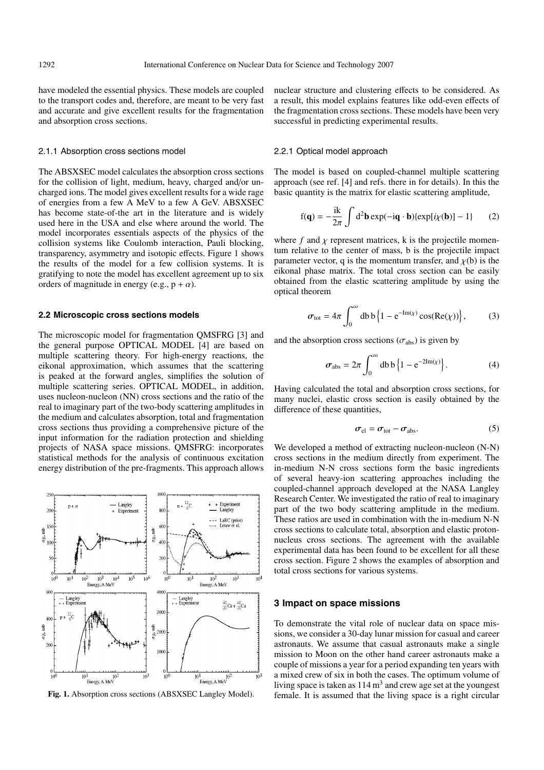have modeled the essential physics. These models are coupled to the transport codes and, therefore, are meant to be very fast and accurate and give excellent results for the fragmentation and absorption cross sections.

#### 2.1.1 Absorption cross sections model

The ABSXSEC model calculates the absorption cross sections for the collision of light, medium, heavy, charged and/or uncharged ions. The model gives excellent results for a wide rage of energies from a few A MeV to a few A GeV. ABSXSEC has become state-of-the art in the literature and is widely used here in the USA and else where around the world. The model incorporates essentials aspects of the physics of the collision systems like Coulomb interaction, Pauli blocking, transparency, asymmetry and isotopic effects. Figure 1 shows the results of the model for a few collision systems. It is gratifying to note the model has excellent agreement up to six orders of magnitude in energy (e.g.,  $p + \alpha$ ).

#### **2.2 Microscopic cross sections models**

The microscopic model for fragmentation QMSFRG [3] and the general purpose OPTICAL MODEL [4] are based on multiple scattering theory. For high-energy reactions, the eikonal approximation, which assumes that the scattering is peaked at the forward angles, simplifies the solution of multiple scattering series. OPTICAL MODEL, in addition, uses nucleon-nucleon (NN) cross sections and the ratio of the real to imaginary part of the two-body scattering amplitudes in the medium and calculates absorption, total and fragmentation cross sections thus providing a comprehensive picture of the input information for the radiation protection and shielding projects of NASA space missions. QMSFRG: incorporates statistical methods for the analysis of continuous excitation energy distribution of the pre-fragments. This approach allows



**Fig. 1.** Absorption cross sections (ABSXSEC Langley Model).

nuclear structure and clustering effects to be considered. As a result, this model explains features like odd-even effects of the fragmentation cross sections. These models have been very successful in predicting experimental results.

#### 2.2.1 Optical model approach

The model is based on coupled-channel multiple scattering approach (see ref. [4] and refs. there in for details). In this the basic quantity is the matrix for elastic scattering amplitude,

$$
f(\mathbf{q}) = -\frac{i\mathbf{k}}{2\pi} \int d^2\mathbf{b} \exp(-i\mathbf{q} \cdot \mathbf{b}) \{ \exp[i\chi(\mathbf{b})] - 1 \} \tag{2}
$$

where  $f$  and  $\chi$  represent matrices, k is the projectile momentum relative to the center of mass, b is the projectile impact parameter vector, q is the momentum transfer, and  $\chi$ (b) is the eikonal phase matrix. The total cross section can be easily obtained from the elastic scattering amplitude by using the optical theorem

$$
\sigma_{\text{tot}} = 4\pi \int_0^\infty \mathrm{d}b \, \mathrm{b} \left\{ 1 - \mathrm{e}^{-\mathrm{Im}(\chi)} \cos(\mathrm{Re}(\chi)) \right\},\tag{3}
$$

and the absorption cross sections ( $\sigma_{\text{abs}}$ ) is given by

$$
\sigma_{\text{abs}} = 2\pi \int_0^\infty \text{db } b \left\{ 1 - e^{-2\text{Im}(\chi)} \right\}. \tag{4}
$$

Having calculated the total and absorption cross sections, for many nuclei, elastic cross section is easily obtained by the difference of these quantities,

$$
\sigma_{\rm el} = \sigma_{\rm tot} - \sigma_{\rm abs}.\tag{5}
$$

We developed a method of extracting nucleon-nucleon (N-N) cross sections in the medium directly from experiment. The in-medium N-N cross sections form the basic ingredients of several heavy-ion scattering approaches including the coupled-channel approach developed at the NASA Langley Research Center. We investigated the ratio of real to imaginary part of the two body scattering amplitude in the medium. These ratios are used in combination with the in-medium N-N cross sections to calculate total, absorption and elastic protonnucleus cross sections. The agreement with the available experimental data has been found to be excellent for all these cross section. Figure 2 shows the examples of absorption and total cross sections for various systems.

#### **3 Impact on space missions**

To demonstrate the vital role of nuclear data on space missions, we consider a 30-day lunar mission for casual and career astronauts. We assume that casual astronauts make a single mission to Moon on the other hand career astronauts make a couple of missions a year for a period expanding ten years with a mixed crew of six in both the cases. The optimum volume of living space is taken as  $114 \text{ m}^3$  and crew age set at the youngest female. It is assumed that the living space is a right circular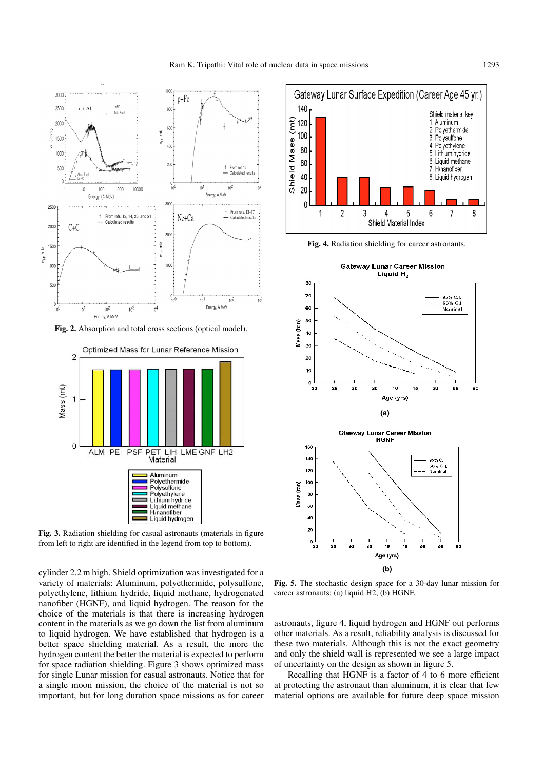

**Fig. 3.** Radiation shielding for casual astronauts (materials in figure from left to right are identified in the legend from top to bottom).

cylinder 2.2 m high. Shield optimization was investigated for a variety of materials: Aluminum, polyethermide, polysulfone, polyethylene, lithium hydride, liquid methane, hydrogenated nanofiber (HGNF), and liquid hydrogen. The reason for the choice of the materials is that there is increasing hydrogen content in the materials as we go down the list from aluminum to liquid hydrogen. We have established that hydrogen is a better space shielding material. As a result, the more the hydrogen content the better the material is expected to perform for space radiation shielding. Figure 3 shows optimized mass for single Lunar mission for casual astronauts. Notice that for a single moon mission, the choice of the material is not so important, but for long duration space missions as for career



**Fig. 4.** Radiation shielding for career astronauts.



**Fig. 5.** The stochastic design space for a 30-day lunar mission for career astronauts: (a) liquid H2, (b) HGNF.

astronauts, figure 4, liquid hydrogen and HGNF out performs other materials. As a result, reliability analysis is discussed for these two materials. Although this is not the exact geometry and only the shield wall is represented we see a large impact of uncertainty on the design as shown in figure 5.

Recalling that HGNF is a factor of 4 to 6 more efficient at protecting the astronaut than aluminum, it is clear that few material options are available for future deep space mission